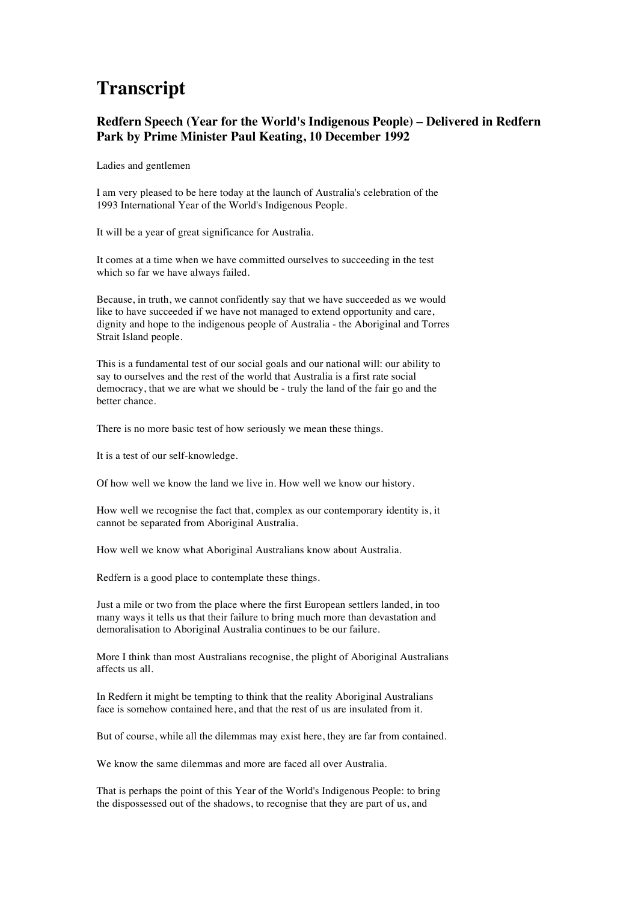## **Transcript**

## **Redfern Speech (Year for the World's Indigenous People) – Delivered in Redfern Park by Prime Minister Paul Keating, 10 December 1992**

Ladies and gentlemen

I am very pleased to be here today at the launch of Australia's celebration of the 1993 International Year of the World's Indigenous People.

It will be a year of great significance for Australia.

It comes at a time when we have committed ourselves to succeeding in the test which so far we have always failed.

Because, in truth, we cannot confidently say that we have succeeded as we would like to have succeeded if we have not managed to extend opportunity and care, dignity and hope to the indigenous people of Australia - the Aboriginal and Torres Strait Island people.

This is a fundamental test of our social goals and our national will: our ability to say to ourselves and the rest of the world that Australia is a first rate social democracy, that we are what we should be - truly the land of the fair go and the better chance.

There is no more basic test of how seriously we mean these things.

It is a test of our self-knowledge.

Of how well we know the land we live in. How well we know our history.

How well we recognise the fact that, complex as our contemporary identity is, it cannot be separated from Aboriginal Australia.

How well we know what Aboriginal Australians know about Australia.

Redfern is a good place to contemplate these things.

Just a mile or two from the place where the first European settlers landed, in too many ways it tells us that their failure to bring much more than devastation and demoralisation to Aboriginal Australia continues to be our failure.

More I think than most Australians recognise, the plight of Aboriginal Australians affects us all.

In Redfern it might be tempting to think that the reality Aboriginal Australians face is somehow contained here, and that the rest of us are insulated from it.

But of course, while all the dilemmas may exist here, they are far from contained.

We know the same dilemmas and more are faced all over Australia.

That is perhaps the point of this Year of the World's Indigenous People: to bring the dispossessed out of the shadows, to recognise that they are part of us, and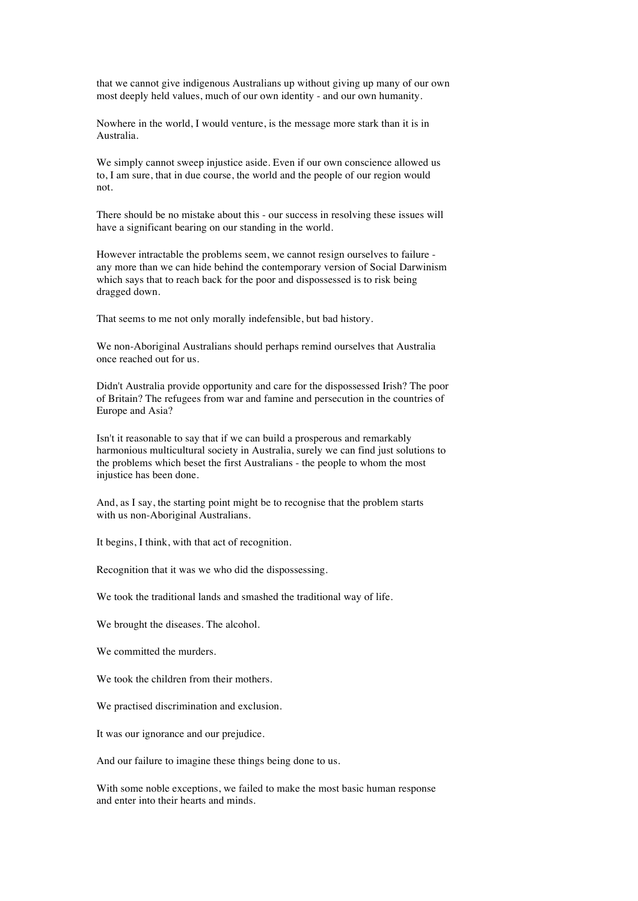that we cannot give indigenous Australians up without giving up many of our own most deeply held values, much of our own identity - and our own humanity.

Nowhere in the world, I would venture, is the message more stark than it is in Australia.

We simply cannot sweep injustice aside. Even if our own conscience allowed us to, I am sure, that in due course, the world and the people of our region would not.

There should be no mistake about this - our success in resolving these issues will have a significant bearing on our standing in the world.

However intractable the problems seem, we cannot resign ourselves to failure any more than we can hide behind the contemporary version of Social Darwinism which says that to reach back for the poor and dispossessed is to risk being dragged down.

That seems to me not only morally indefensible, but bad history.

We non-Aboriginal Australians should perhaps remind ourselves that Australia once reached out for us.

Didn't Australia provide opportunity and care for the dispossessed Irish? The poor of Britain? The refugees from war and famine and persecution in the countries of Europe and Asia?

Isn't it reasonable to say that if we can build a prosperous and remarkably harmonious multicultural society in Australia, surely we can find just solutions to the problems which beset the first Australians - the people to whom the most injustice has been done.

And, as I say, the starting point might be to recognise that the problem starts with us non-Aboriginal Australians.

It begins, I think, with that act of recognition.

Recognition that it was we who did the dispossessing.

We took the traditional lands and smashed the traditional way of life.

We brought the diseases. The alcohol.

We committed the murders.

We took the children from their mothers.

We practised discrimination and exclusion.

It was our ignorance and our prejudice.

And our failure to imagine these things being done to us.

With some noble exceptions, we failed to make the most basic human response and enter into their hearts and minds.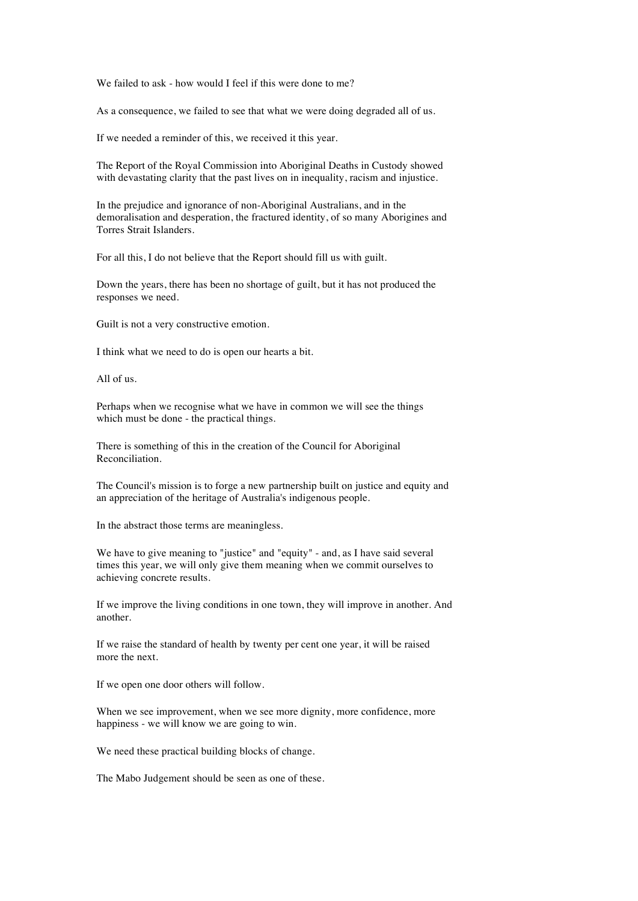We failed to ask - how would I feel if this were done to me?

As a consequence, we failed to see that what we were doing degraded all of us.

If we needed a reminder of this, we received it this year.

The Report of the Royal Commission into Aboriginal Deaths in Custody showed with devastating clarity that the past lives on in inequality, racism and injustice.

In the prejudice and ignorance of non-Aboriginal Australians, and in the demoralisation and desperation, the fractured identity, of so many Aborigines and Torres Strait Islanders.

For all this, I do not believe that the Report should fill us with guilt.

Down the years, there has been no shortage of guilt, but it has not produced the responses we need.

Guilt is not a very constructive emotion.

I think what we need to do is open our hearts a bit.

All of us.

Perhaps when we recognise what we have in common we will see the things which must be done - the practical things.

There is something of this in the creation of the Council for Aboriginal Reconciliation.

The Council's mission is to forge a new partnership built on justice and equity and an appreciation of the heritage of Australia's indigenous people.

In the abstract those terms are meaningless.

We have to give meaning to "justice" and "equity" - and, as I have said several times this year, we will only give them meaning when we commit ourselves to achieving concrete results.

If we improve the living conditions in one town, they will improve in another. And another.

If we raise the standard of health by twenty per cent one year, it will be raised more the next.

If we open one door others will follow.

When we see improvement, when we see more dignity, more confidence, more happiness - we will know we are going to win.

We need these practical building blocks of change.

The Mabo Judgement should be seen as one of these.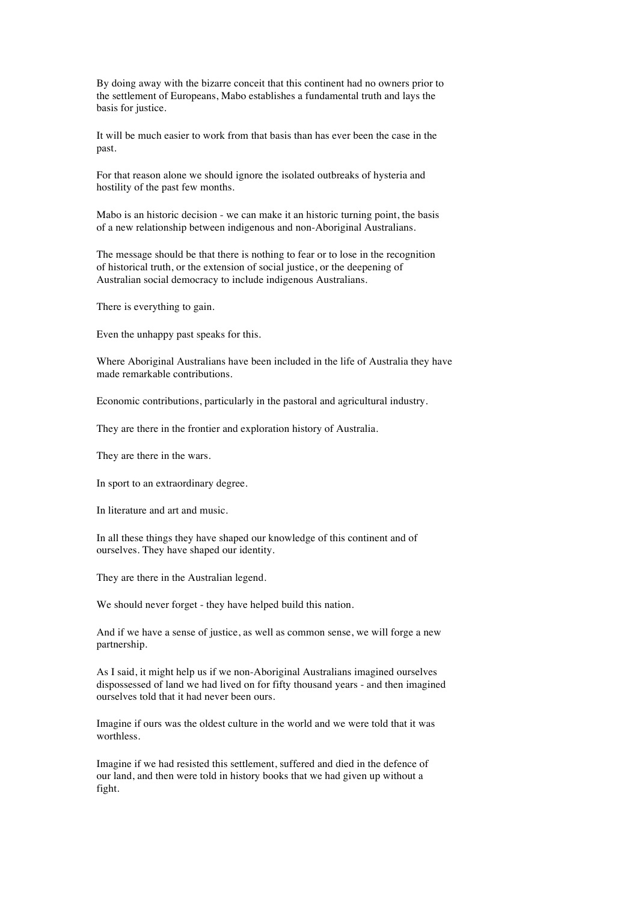By doing away with the bizarre conceit that this continent had no owners prior to the settlement of Europeans, Mabo establishes a fundamental truth and lays the basis for justice.

It will be much easier to work from that basis than has ever been the case in the past.

For that reason alone we should ignore the isolated outbreaks of hysteria and hostility of the past few months.

Mabo is an historic decision - we can make it an historic turning point, the basis of a new relationship between indigenous and non-Aboriginal Australians.

The message should be that there is nothing to fear or to lose in the recognition of historical truth, or the extension of social justice, or the deepening of Australian social democracy to include indigenous Australians.

There is everything to gain.

Even the unhappy past speaks for this.

Where Aboriginal Australians have been included in the life of Australia they have made remarkable contributions.

Economic contributions, particularly in the pastoral and agricultural industry.

They are there in the frontier and exploration history of Australia.

They are there in the wars.

In sport to an extraordinary degree.

In literature and art and music.

In all these things they have shaped our knowledge of this continent and of ourselves. They have shaped our identity.

They are there in the Australian legend.

We should never forget - they have helped build this nation.

And if we have a sense of justice, as well as common sense, we will forge a new partnership.

As I said, it might help us if we non-Aboriginal Australians imagined ourselves dispossessed of land we had lived on for fifty thousand years - and then imagined ourselves told that it had never been ours.

Imagine if ours was the oldest culture in the world and we were told that it was worthless.

Imagine if we had resisted this settlement, suffered and died in the defence of our land, and then were told in history books that we had given up without a fight.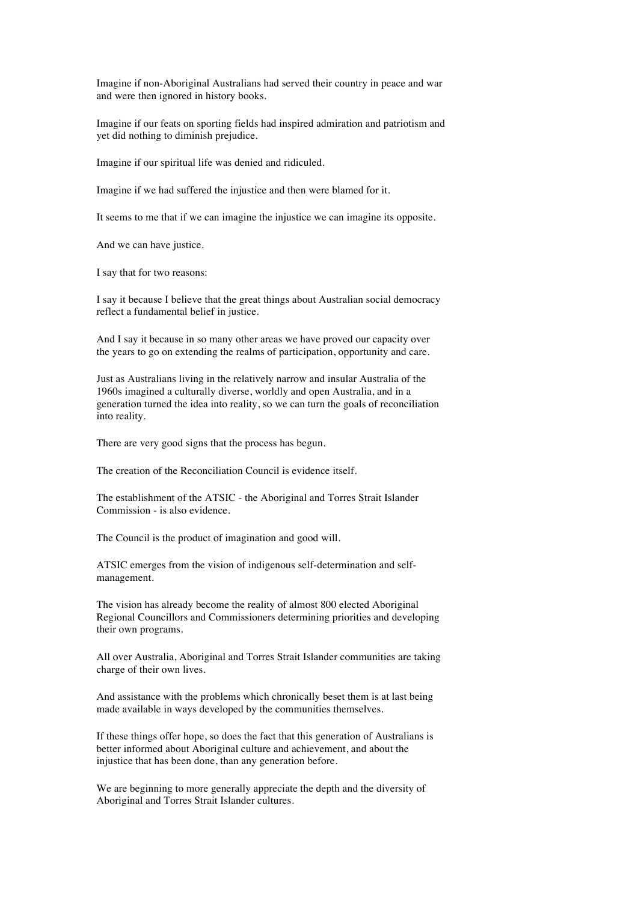Imagine if non-Aboriginal Australians had served their country in peace and war and were then ignored in history books.

Imagine if our feats on sporting fields had inspired admiration and patriotism and yet did nothing to diminish prejudice.

Imagine if our spiritual life was denied and ridiculed.

Imagine if we had suffered the injustice and then were blamed for it.

It seems to me that if we can imagine the injustice we can imagine its opposite.

And we can have justice.

I say that for two reasons:

I say it because I believe that the great things about Australian social democracy reflect a fundamental belief in justice.

And I say it because in so many other areas we have proved our capacity over the years to go on extending the realms of participation, opportunity and care.

Just as Australians living in the relatively narrow and insular Australia of the 1960s imagined a culturally diverse, worldly and open Australia, and in a generation turned the idea into reality, so we can turn the goals of reconciliation into reality.

There are very good signs that the process has begun.

The creation of the Reconciliation Council is evidence itself.

The establishment of the ATSIC - the Aboriginal and Torres Strait Islander Commission - is also evidence.

The Council is the product of imagination and good will.

ATSIC emerges from the vision of indigenous self-determination and selfmanagement.

The vision has already become the reality of almost 800 elected Aboriginal Regional Councillors and Commissioners determining priorities and developing their own programs.

All over Australia, Aboriginal and Torres Strait Islander communities are taking charge of their own lives.

And assistance with the problems which chronically beset them is at last being made available in ways developed by the communities themselves.

If these things offer hope, so does the fact that this generation of Australians is better informed about Aboriginal culture and achievement, and about the injustice that has been done, than any generation before.

We are beginning to more generally appreciate the depth and the diversity of Aboriginal and Torres Strait Islander cultures.